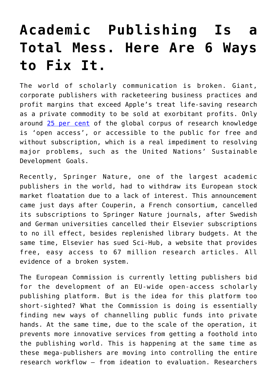## **[Academic Publishing Is a](https://intellectualtakeout.org/2018/07/academic-publishing-is-a-total-mess-here-are-6-ways-to-fix-it/) [Total Mess. Here Are 6 Ways](https://intellectualtakeout.org/2018/07/academic-publishing-is-a-total-mess-here-are-6-ways-to-fix-it/) [to Fix It.](https://intellectualtakeout.org/2018/07/academic-publishing-is-a-total-mess-here-are-6-ways-to-fix-it/)**

The world of scholarly communication is broken. Giant, corporate publishers with racketeering business practices and profit margins that exceed Apple's treat life-saving research as a private commodity to be sold at exorbitant profits. Only around [25 per cent](https://peerj.com/articles/4375/) of the global corpus of research knowledge is 'open access', or accessible to the public for free and without subscription, which is a real impediment to resolving major problems, such as the United Nations' Sustainable Development Goals.

Recently, Springer Nature, one of the largest academic publishers in the world, had to withdraw its European stock market floatation due to a lack of interest. This announcement came just days after Couperin, a French consortium, cancelled its subscriptions to Springer Nature journals, after Swedish and German universities cancelled their Elsevier subscriptions to no ill effect, besides replenished library budgets. At the same time, Elsevier has sued Sci-Hub, a website that provides free, easy access to 67 million research articles. All evidence of a broken system.

The European Commission is currently letting publishers bid for the development of an EU-wide open-access scholarly publishing platform. But is the idea for this platform too short-sighted? What the Commission is doing is essentially finding new ways of channelling public funds into private hands. At the same time, due to the scale of the operation, it prevents more innovative services from getting a foothold into the publishing world. This is happening at the same time as these mega-publishers are moving into controlling the entire research workflow – from ideation to evaluation. Researchers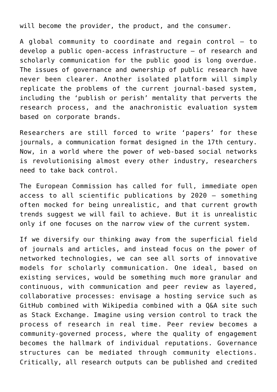will become the provider, the product, and the consumer.

A global community to coordinate and regain control – to develop a public open-access infrastructure – of research and scholarly communication for the public good is long overdue. The issues of governance and ownership of public research have never been clearer. Another isolated platform will simply replicate the problems of the current journal-based system, including the 'publish or perish' mentality that perverts the research process, and the anachronistic evaluation system based on corporate brands.

Researchers are still forced to write 'papers' for these journals, a communication format designed in the 17th century. Now, in a world where the power of web-based social networks is revolutionising almost every other industry, researchers need to take back control.

The European Commission has called for full, immediate open access to all scientific publications by 2020 – something often mocked for being unrealistic, and that current growth trends suggest we will fail to achieve. But it is unrealistic only if one focuses on the narrow view of the current system.

If we diversify our thinking away from the superficial field of journals and articles, and instead focus on the power of networked technologies, we can see all sorts of innovative models for scholarly communication. One ideal, based on existing services, would be something much more granular and continuous, with communication and peer review as layered, collaborative processes: envisage a hosting service such as GitHub combined with Wikipedia combined with a Q&A site such as Stack Exchange. Imagine using version control to track the process of research in real time. Peer review becomes a community-governed process, where the quality of engagement becomes the hallmark of individual reputations. Governance structures can be mediated through community elections. Critically, all research outputs can be published and credited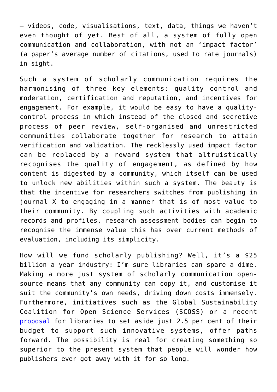– videos, code, visualisations, text, data, things we haven't even thought of yet. Best of all, a system of fully open communication and collaboration, with not an 'impact factor' (a paper's average number of citations, used to rate journals) in sight.

Such a system of scholarly communication requires the harmonising of three key elements: quality control and moderation, certification and reputation, and incentives for engagement. For example, it would be easy to have a qualitycontrol process in which instead of the closed and secretive process of peer review, self-organised and unrestricted communities collaborate together for research to attain verification and validation. The recklessly used impact factor can be replaced by a reward system that altruistically recognises the quality of engagement, as defined by how content is digested by a community, which itself can be used to unlock new abilities within such a system. The beauty is that the incentive for researchers switches from publishing in journal X to engaging in a manner that is of most value to their community. By coupling such activities with academic records and profiles, research assessment bodies can begin to recognise the immense value this has over current methods of evaluation, including its simplicity.

How will we fund scholarly publishing? Well, it's a \$25 billion a year industry: I'm sure libraries can spare a dime. Making a more just system of scholarly communication opensource means that any community can copy it, and customise it suit the community's own needs, driving down costs immensely. Furthermore, initiatives such as the Global Sustainability Coalition for Open Science Services (SCOSS) or a recent [proposal](https://scholarworks.iupui.edu/bitstream/handle/1805/14063/The%202.5%25%20Commitment.pdf?sequence=1&isAllowed=y) for libraries to set aside just 2.5 per cent of their budget to support such innovative systems, offer paths forward. The possibility is real for creating something so superior to the present system that people will wonder how publishers ever got away with it for so long.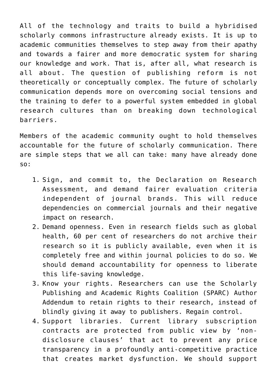All of the technology and traits to build a hybridised scholarly commons infrastructure already exists. It is up to academic communities themselves to step away from their apathy and towards a fairer and more democratic system for sharing our knowledge and work. That is, after all, what research is all about. The question of publishing reform is not theoretically or conceptually complex. The future of scholarly communication depends more on overcoming social tensions and the training to defer to a powerful system embedded in global research cultures than on breaking down technological barriers.

Members of the academic community ought to hold themselves accountable for the future of scholarly communication. There are simple steps that we all can take: many have already done so:

- 1. Sign, and commit to, the Declaration on Research Assessment, and demand fairer evaluation criteria independent of journal brands. This will reduce dependencies on commercial journals and their negative impact on research.
- 2. Demand openness. Even in research fields such as global health, 60 per cent of researchers do not archive their research so it is publicly available, even when it is completely free and within journal policies to do so. We should demand accountability for openness to liberate this life-saving knowledge.
- 3. Know your rights. Researchers can use the Scholarly Publishing and Academic Rights Coalition (SPARC) Author Addendum to retain rights to their research, instead of blindly giving it away to publishers. Regain control.
- 4. Support libraries. Current library subscription contracts are protected from public view by 'nondisclosure clauses' that act to prevent any price transparency in a profoundly anti-competitive practice that creates market dysfunction. We should support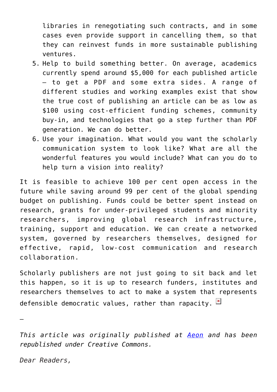libraries in renegotiating such contracts, and in some cases even provide support in cancelling them, so that they can reinvest funds in more sustainable publishing ventures.

- 5. Help to build something better. On average, academics currently spend around \$5,000 for each published article – to get a PDF and some extra sides. A range of different studies and working examples exist that show the true cost of publishing an article can be as low as \$100 using cost-efficient funding schemes, community buy-in, and technologies that go a step further than PDF generation. We can do better.
- 6. Use your imagination. What would you want the scholarly communication system to look like? What are all the wonderful features you would include? What can you do to help turn a vision into reality?

It is feasible to achieve 100 per cent open access in the future while saving around 99 per cent of the global spending budget on publishing. Funds could be better spent instead on research, grants for under-privileged students and minority researchers, improving global research infrastructure, training, support and education. We can create a networked system, governed by researchers themselves, designed for effective, rapid, low-cost communication and research collaboration.

Scholarly publishers are not just going to sit back and let this happen, so it is up to research funders, institutes and researchers themselves to act to make a system that represents defensible democratic values, rather than rapacity.  $\frac{1}{2}$ 

—

*This article was originally published at [Aeon](https://aeon.co?utm_campaign=republished-article) and has been republished under Creative Commons.*

*Dear Readers,*